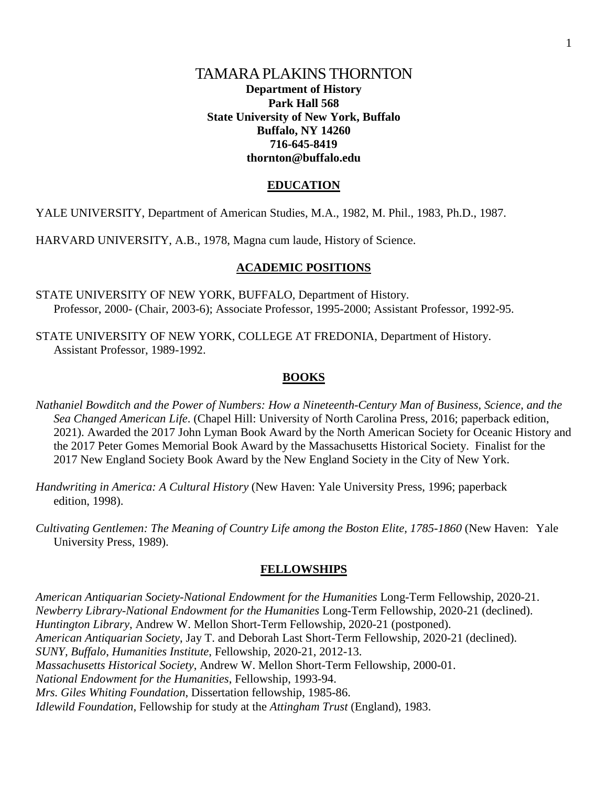## TAMARA PLAKINS THORNTON **Department of History Park Hall 568 State University of New York, Buffalo Buffalo, NY 14260 716-645-8419 thornton@buffalo.edu**

## **EDUCATION**

YALE UNIVERSITY, Department of American Studies, M.A., 1982, M. Phil., 1983, Ph.D., 1987.

HARVARD UNIVERSITY, A.B., 1978, Magna cum laude, History of Science.

## **ACADEMIC POSITIONS**

- STATE UNIVERSITY OF NEW YORK, BUFFALO, Department of History. Professor, 2000- (Chair, 2003-6); Associate Professor, 1995-2000; Assistant Professor, 1992-95.
- STATE UNIVERSITY OF NEW YORK, COLLEGE AT FREDONIA, Department of History. Assistant Professor, 1989-1992.

## **BOOKS**

- *Nathaniel Bowditch and the Power of Numbers: How a Nineteenth-Century Man of Business, Science, and the Sea Changed American Life*. (Chapel Hill: University of North Carolina Press, 2016; paperback edition, 2021). Awarded the 2017 John Lyman Book Award by the North American Society for Oceanic History and the 2017 Peter Gomes Memorial Book Award by the Massachusetts Historical Society. Finalist for the 2017 New England Society Book Award by the New England Society in the City of New York.
- *Handwriting in America: A Cultural History* (New Haven: Yale University Press, 1996; paperback edition, 1998).
- *Cultivating Gentlemen: The Meaning of Country Life among the Boston Elite, 1785-1860* (New Haven: Yale University Press, 1989).

### **FELLOWSHIPS**

*American Antiquarian Society-National Endowment for the Humanities* Long-Term Fellowship, 2020-21. *Newberry Library-National Endowment for the Humanities* Long-Term Fellowship, 2020-21 (declined). *Huntington Library*, Andrew W. Mellon Short-Term Fellowship, 2020-21 (postponed). *American Antiquarian Society*, Jay T. and Deborah Last Short-Term Fellowship, 2020-21 (declined). *SUNY, Buffalo*, *Humanities Institute*, Fellowship, 2020-21, 2012-13. *Massachusetts Historical Society*, Andrew W. Mellon Short-Term Fellowship, 2000-01. *National Endowment for the Humanities*, Fellowship, 1993-94. *Mrs. Giles Whiting Foundation*, Dissertation fellowship, 1985-86. *Idlewild Foundation*, Fellowship for study at the *Attingham Trust* (England), 1983.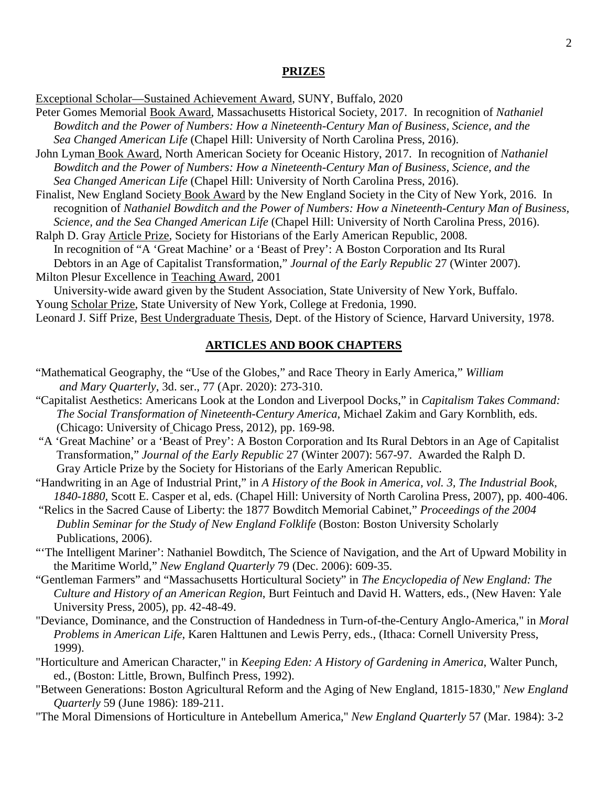#### **PRIZES**

Exceptional Scholar—Sustained Achievement Award, SUNY, Buffalo, 2020

Peter Gomes Memorial Book Award, Massachusetts Historical Society, 2017. In recognition of *Nathaniel Bowditch and the Power of Numbers: How a Nineteenth-Century Man of Business, Science, and the Sea Changed American Life* (Chapel Hill: University of North Carolina Press, 2016).

John Lyman Book Award, North American Society for Oceanic History, 2017. In recognition of *Nathaniel Bowditch and the Power of Numbers: How a Nineteenth-Century Man of Business, Science, and the Sea Changed American Life* (Chapel Hill: University of North Carolina Press, 2016).

Finalist, New England Society Book Award by the New England Society in the City of New York, 2016. In recognition of *Nathaniel Bowditch and the Power of Numbers: How a Nineteenth-Century Man of Business, Science, and the Sea Changed American Life* (Chapel Hill: University of North Carolina Press, 2016).

Ralph D. Gray Article Prize, Society for Historians of the Early American Republic, 2008. In recognition of "A 'Great Machine' or a 'Beast of Prey': A Boston Corporation and Its Rural Debtors in an Age of Capitalist Transformation," *Journal of the Early Republic* 27 (Winter 2007). Milton Plesur Excellence in Teaching Award, 2001

University-wide award given by the Student Association, State University of New York, Buffalo. Young Scholar Prize, State University of New York, College at Fredonia, 1990.

Leonard J. Siff Prize, Best Undergraduate Thesis, Dept. of the History of Science, Harvard University, 1978.

#### **ARTICLES AND BOOK CHAPTERS**

- "Mathematical Geography, the "Use of the Globes," and Race Theory in Early America," *William and Mary Quarterly*, 3d. ser., 77 (Apr. 2020): 273-310.
- "Capitalist Aesthetics: Americans Look at the London and Liverpool Docks," in *Capitalism Takes Command: The Social Transformation of Nineteenth-Century America*, Michael Zakim and Gary Kornblith, eds. (Chicago: University of Chicago Press, 2012), pp. 169-98.
- "A 'Great Machine' or a 'Beast of Prey': A Boston Corporation and Its Rural Debtors in an Age of Capitalist Transformation," *Journal of the Early Republic* 27 (Winter 2007): 567-97. Awarded the Ralph D. Gray Article Prize by the Society for Historians of the Early American Republic.
- "Handwriting in an Age of Industrial Print," in *A History of the Book in America, vol. 3, The Industrial Book, 1840-1880*, Scott E. Casper et al, eds. (Chapel Hill: University of North Carolina Press, 2007), pp. 400-406.
- "Relics in the Sacred Cause of Liberty: the 1877 Bowditch Memorial Cabinet," *Proceedings of the 2004 Dublin Seminar for the Study of New England Folklife* (Boston: Boston University Scholarly Publications, 2006).
- "The Intelligent Mariner': Nathaniel Bowditch, The Science of Navigation, and the Art of Upward Mobility in the Maritime World," *New England Quarterly* 79 (Dec. 2006): 609-35.
- "Gentleman Farmers" and "Massachusetts Horticultural Society" in *The Encyclopedia of New England: The Culture and History of an American Region*, Burt Feintuch and David H. Watters, eds., (New Haven: Yale University Press, 2005), pp. 42-48-49.
- "Deviance, Dominance, and the Construction of Handedness in Turn-of-the-Century Anglo-America," in *Moral Problems in American Life*, Karen Halttunen and Lewis Perry, eds., (Ithaca: Cornell University Press, 1999).
- "Horticulture and American Character," in *Keeping Eden: A History of Gardening in America*, Walter Punch, ed., (Boston: Little, Brown, Bulfinch Press, 1992).
- "Between Generations: Boston Agricultural Reform and the Aging of New England, 1815-1830," *New England Quarterly* 59 (June 1986): 189-211.
- "The Moral Dimensions of Horticulture in Antebellum America," *New England Quarterly* 57 (Mar. 1984): 3-2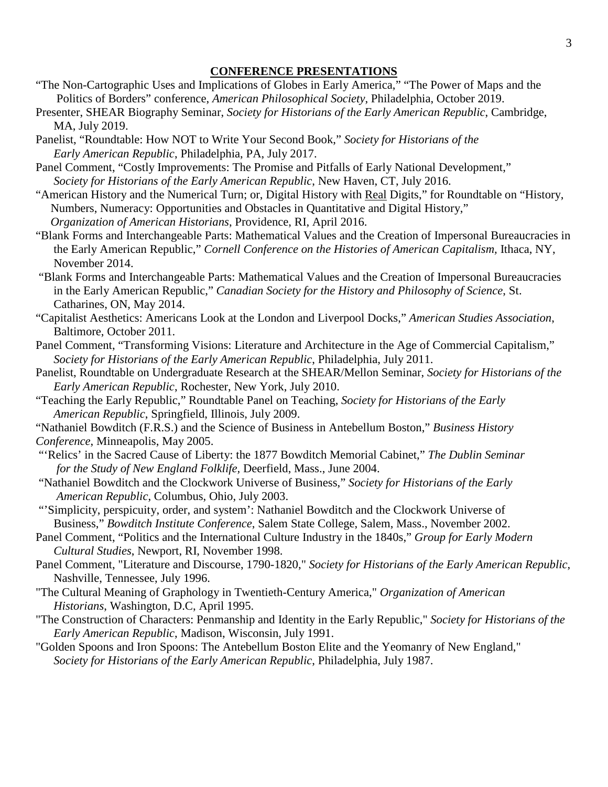## **CONFERENCE PRESENTATIONS**

- "The Non-Cartographic Uses and Implications of Globes in Early America," "The Power of Maps and the Politics of Borders" conference, *American Philosophical Society*, Philadelphia, October 2019.
- Presenter, SHEAR Biography Seminar, *Society for Historians of the Early American Republic*, Cambridge, MA, July 2019.
- Panelist, "Roundtable: How NOT to Write Your Second Book," *Society for Historians of the Early American Republic*, Philadelphia, PA, July 2017.
- Panel Comment, "Costly Improvements: The Promise and Pitfalls of Early National Development," *Society for Historians of the Early American Republic*, New Haven, CT, July 2016.
- "American History and the Numerical Turn; or, Digital History with Real Digits," for Roundtable on "History, Numbers, Numeracy: Opportunities and Obstacles in Quantitative and Digital History,"  *Organization of American Historians*, Providence, RI, April 2016.
- "Blank Forms and Interchangeable Parts: Mathematical Values and the Creation of Impersonal Bureaucracies in the Early American Republic," *Cornell Conference on the Histories of American Capitalism*, Ithaca, NY, November 2014.
- "Blank Forms and Interchangeable Parts: Mathematical Values and the Creation of Impersonal Bureaucracies in the Early American Republic," *Canadian Society for the History and Philosophy of Science*, St. Catharines, ON, May 2014.
- "Capitalist Aesthetics: Americans Look at the London and Liverpool Docks," *American Studies Association*, Baltimore, October 2011.
- Panel Comment, "Transforming Visions: Literature and Architecture in the Age of Commercial Capitalism," *Society for Historians of the Early American Republic*, Philadelphia, July 2011.
- Panelist, Roundtable on Undergraduate Research at the SHEAR/Mellon Seminar, *Society for Historians of the Early American Republic*, Rochester, New York, July 2010.
- "Teaching the Early Republic," Roundtable Panel on Teaching, *Society for Historians of the Early American Republic*, Springfield, Illinois, July 2009.
- "Nathaniel Bowditch (F.R.S.) and the Science of Business in Antebellum Boston," *Business History Conference*, Minneapolis, May 2005.
- "'Relics' in the Sacred Cause of Liberty: the 1877 Bowditch Memorial Cabinet," *The Dublin Seminar for the Study of New England Folklife,* Deerfield, Mass., June 2004.
- "Nathaniel Bowditch and the Clockwork Universe of Business," *Society for Historians of the Early American Republic*, Columbus, Ohio, July 2003.
- "'Simplicity, perspicuity, order, and system': Nathaniel Bowditch and the Clockwork Universe of Business," *Bowditch Institute Conference*, Salem State College, Salem, Mass., November 2002.
- Panel Comment, "Politics and the International Culture Industry in the 1840s," *Group for Early Modern Cultural Studies*, Newport, RI, November 1998.
- Panel Comment, "Literature and Discourse, 1790-1820," *Society for Historians of the Early American Republic*, Nashville, Tennessee, July 1996.
- "The Cultural Meaning of Graphology in Twentieth-Century America," *Organization of American Historians*, Washington, D.C, April 1995.
- "The Construction of Characters: Penmanship and Identity in the Early Republic," *Society for Historians of the Early American Republic*, Madison, Wisconsin, July 1991.
- "Golden Spoons and Iron Spoons: The Antebellum Boston Elite and the Yeomanry of New England," *Society for Historians of the Early American Republic*, Philadelphia, July 1987.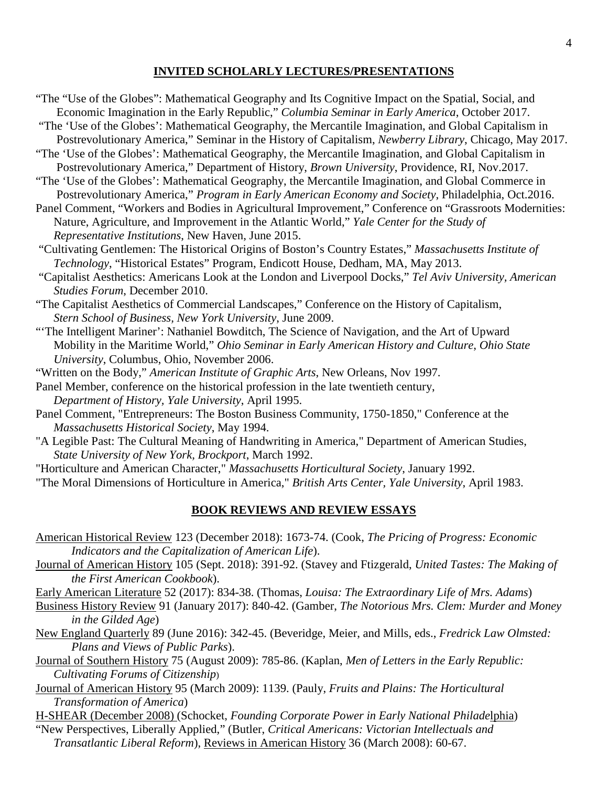#### **INVITED SCHOLARLY LECTURES/PRESENTATIONS**

"The "Use of the Globes": Mathematical Geography and Its Cognitive Impact on the Spatial, Social, and Economic Imagination in the Early Republic," *Columbia Seminar in Early America*, October 2017.

"The 'Use of the Globes': Mathematical Geography, the Mercantile Imagination, and Global Capitalism in Postrevolutionary America," Seminar in the History of Capitalism, *Newberry Library*, Chicago, May 2017.

- "The 'Use of the Globes': Mathematical Geography, the Mercantile Imagination, and Global Capitalism in Postrevolutionary America," Department of History, *Brown University*, Providence, RI, Nov.2017.
- "The 'Use of the Globes': Mathematical Geography, the Mercantile Imagination, and Global Commerce in Postrevolutionary America," *Program in Early American Economy and Society*, Philadelphia, Oct.2016.
- Panel Comment, "Workers and Bodies in Agricultural Improvement," Conference on "Grassroots Modernities: Nature, Agriculture, and Improvement in the Atlantic World," *Yale Center for the Study of Representative Institutions*, New Haven, June 2015.
- "Cultivating Gentlemen: The Historical Origins of Boston's Country Estates," *Massachusetts Institute of Technology*, "Historical Estates" Program, Endicott House, Dedham, MA, May 2013.
- "Capitalist Aesthetics: Americans Look at the London and Liverpool Docks," *Tel Aviv University, American Studies Forum*, December 2010.
- "The Capitalist Aesthetics of Commercial Landscapes," Conference on the History of Capitalism, *Stern School of Business, New York University*, June 2009.
- "'The Intelligent Mariner': Nathaniel Bowditch, The Science of Navigation, and the Art of Upward Mobility in the Maritime World," *Ohio Seminar in Early American History and Culture*, *Ohio State University*, Columbus, Ohio, November 2006.
- "Written on the Body," *American Institute of Graphic Arts*, New Orleans, Nov 1997.
- Panel Member, conference on the historical profession in the late twentieth century, *Department of History, Yale University*, April 1995.
- Panel Comment, "Entrepreneurs: The Boston Business Community, 1750-1850," Conference at the *Massachusetts Historical Society*, May 1994.
- "A Legible Past: The Cultural Meaning of Handwriting in America," Department of American Studies, *State University of New York, Brockport*, March 1992.
- "Horticulture and American Character," *Massachusetts Horticultural Society*, January 1992.
- "The Moral Dimensions of Horticulture in America," *British Arts Center, Yale University*, April 1983.

#### **BOOK REVIEWS AND REVIEW ESSAYS**

- American Historical Review 123 (December 2018): 1673-74. (Cook, *The Pricing of Progress: Economic Indicators and the Capitalization of American Life*).
- Journal of American History 105 (Sept. 2018): 391-92. (Stavey and Ftizgerald, *United Tastes: The Making of the First American Cookbook*).

Early American Literature 52 (2017): 834-38. (Thomas, *Louisa: The Extraordinary Life of Mrs. Adams*)

- Business History Review 91 (January 2017): 840-42. (Gamber, *The Notorious Mrs. Clem: Murder and Money in the Gilded Age*)
- New England Quarterly 89 (June 2016): 342-45. (Beveridge, Meier, and Mills, eds., *Fredrick Law Olmsted: Plans and Views of Public Parks*).
- Journal of Southern History 75 (August 2009): 785-86. (Kaplan, *Men of Letters in the Early Republic: Cultivating Forums of Citizenship*)
- Journal of American History 95 (March 2009): 1139. (Pauly, *Fruits and Plains: The Horticultural Transformation of America*)

H-SHEAR (December 2008) (Schocket, *Founding Corporate Power in Early National Philade*lphia)

"New Perspectives, Liberally Applied," (Butler, *Critical Americans: Victorian Intellectuals and Transatlantic Liberal Reform*), Reviews in American History 36 (March 2008): 60-67.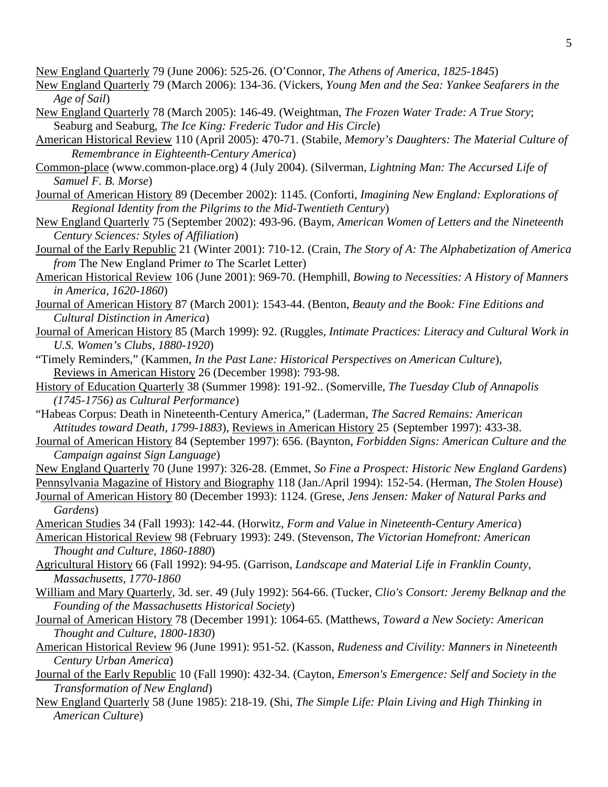New England Quarterly 79 (June 2006): 525-26. (O'Connor, *The Athens of America, 1825-1845*)

New England Quarterly 79 (March 2006): 134-36. (Vickers, *Young Men and the Sea: Yankee Seafarers in the Age of Sail*)

- New England Quarterly 78 (March 2005): 146-49. (Weightman, *The Frozen Water Trade: A True Story*; Seaburg and Seaburg, *The Ice King: Frederic Tudor and His Circle*)
- American Historical Review 110 (April 2005): 470-71. (Stabile, *Memory's Daughters: The Material Culture of Remembrance in Eighteenth-Century America*)
- Common-place (www.common-place.org) 4 (July 2004). (Silverman, *Lightning Man: The Accursed Life of Samuel F. B. Morse*)
- Journal of American History 89 (December 2002): 1145. (Conforti, *Imagining New England: Explorations of Regional Identity from the Pilgrims to the Mid-Twentieth Century*)
- New England Quarterly 75 (September 2002): 493-96. (Baym, *American Women of Letters and the Nineteenth Century Sciences: Styles of Affiliation*)
- Journal of the Early Republic 21 (Winter 2001): 710-12. (Crain, *The Story of A: The Alphabetization of America from* The New England Primer *to* The Scarlet Letter)
- American Historical Review 106 (June 2001): 969-70. (Hemphill, *Bowing to Necessities: A History of Manners in America, 1620-1860*)
- Journal of American History 87 (March 2001): 1543-44. (Benton, *Beauty and the Book: Fine Editions and Cultural Distinction in America*)
- Journal of American History 85 (March 1999): 92. (Ruggles, *Intimate Practices: Literacy and Cultural Work in U.S. Women's Clubs, 1880-1920*)
- "Timely Reminders," (Kammen, *In the Past Lane: Historical Perspectives on American Culture*), Reviews in American History 26 (December 1998): 793-98.
- History of Education Quarterly 38 (Summer 1998): 191-92.. (Somerville, *The Tuesday Club of Annapolis (1745-1756) as Cultural Performance*)
- "Habeas Corpus: Death in Nineteenth-Century America," (Laderman, *The Sacred Remains: American Attitudes toward Death, 1799-1883*), Reviews in American History 25 (September 1997): 433-38.
- Journal of American History 84 (September 1997): 656. (Baynton, *Forbidden Signs: American Culture and the Campaign against Sign Language*)
- New England Quarterly 70 (June 1997): 326-28. (Emmet, *So Fine a Prospect: Historic New England Gardens*)
- Pennsylvania Magazine of History and Biography 118 (Jan./April 1994): 152-54. (Herman, *The Stolen House*)
- Journal of American History 80 (December 1993): 1124. (Grese, *Jens Jensen: Maker of Natural Parks and Gardens*)

American Studies 34 (Fall 1993): 142-44. (Horwitz, *Form and Value in Nineteenth-Century America*)

- American Historical Review 98 (February 1993): 249. (Stevenson, *The Victorian Homefront: American Thought and Culture, 1860-1880*)
- Agricultural History 66 (Fall 1992): 94-95. (Garrison, *Landscape and Material Life in Franklin County, Massachusetts, 1770-1860*
- William and Mary Quarterly, 3d. ser. 49 (July 1992): 564-66. (Tucker, *Clio's Consort: Jeremy Belknap and the Founding of the Massachusetts Historical Society*)
- Journal of American History 78 (December 1991): 1064-65. (Matthews, *Toward a New Society: American Thought and Culture, 1800-1830*)
- American Historical Review 96 (June 1991): 951-52. (Kasson, *Rudeness and Civility: Manners in Nineteenth Century Urban America*)
- Journal of the Early Republic 10 (Fall 1990): 432-34. (Cayton, *Emerson's Emergence: Self and Society in the Transformation of New England*)
- New England Quarterly 58 (June 1985): 218-19. (Shi, *The Simple Life: Plain Living and High Thinking in American Culture*)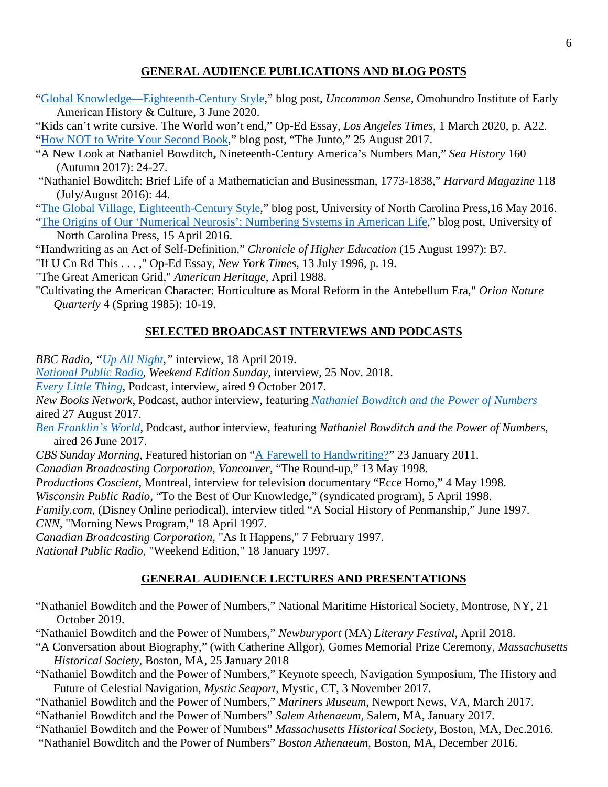## **GENERAL AUDIENCE PUBLICATIONS AND BLOG POSTS**

["Global Knowledge—Eighteenth-Century Style,](https://blog.oieahc.wm.edu/global-knowledge-eighteenth-century-style/)" blog post, *Uncommon Sense*, Omohundro Institute of Early American History & Culture, 3 June 2020.

"Kids can't write cursive. The World won't end," Op-Ed Essay, *Los Angeles Times*, 1 March 2020, p. A22. ["How NOT to Write Your Second Book,](https://earlyamericanists.com/2017/08/25/roundtable-on-how-not-to-write-your-second-book-tamara)" blog post, "The Junto," 25 August 2017.

- "A New Look at Nathaniel Bowditch**,** Nineteenth-Century America's Numbers Man," *Sea History* 160 (Autumn 2017): 24-27.
- "Nathaniel Bowditch: Brief Life of a Mathematician and Businessman, 1773-1838," *Harvard Magazine* 118 (July/August 2016): 44.
- ["The Global Village, Eighteenth-Century Style,](http://uncpressblog.com/2016/05/16/thornton-global-village/)" blog post, University of North Carolina Press,16 May 2016. ["The Origins of Our 'Numerical Neurosis': Numbering Systems in American Life,](http://uncpressblog.com/2016/04/15/thornton-origins-numerical-neurosis/)" blog post, University of

North Carolina Press, 15 April 2016.

"Handwriting as an Act of Self-Definition," *Chronicle of Higher Education* (15 August 1997): B7. "If U Cn Rd This . . . ," Op-Ed Essay, *New York Times*, 13 July 1996, p. 19.

"The Great American Grid," *American Heritage*, April 1988.

"Cultivating the American Character: Horticulture as Moral Reform in the Antebellum Era," *Orion Nature Quarterly* 4 (Spring 1985): 10-19.

# **SELECTED BROADCAST INTERVIEWS AND PODCASTS**

*BBC Radio, ["Up All Night,](https://www.bbc.co.uk/sounds/play/m000431q)"* interview, 18 April 2019.

*[National Public Radio,](https://www.npr.org/2018/11/25/670631106/the-history-of-signatures-and-their%20present-relevance) Weekend Edition Sunday*, interview, 25 Nov. 2018.

*[Every Little Thing](https://www.gimletmedia.com/every-little-thing/celebrity-crush-bill-nye)*, Podcast, interview, aired 9 October 2017.

*New Books Network*, Podcast, author interview, featuring *[Nathaniel Bowditch and the Power of Numbers](http://newbooksnetwork.com/tamara-plakins-thornton-nathaniel-bowditch-and-the-power-of-numbers-how-a-nineteenth-century-man-of-business-science-and-the-sea-changed-american-life-unc-press-2016/)* aired 27 August 2017.

*[Ben Franklin's World](https://www.benfranklinsworld.com/)*, Podcast, author interview, featuring *Nathaniel Bowditch and the Power of Numbers*, aired 26 June 2017.

*CBS Sunday Morning,* Featured historian on ["A Farewell to Handwriting?"](http://www.cbsnews.com/video/watch/?id=7274694n&tag=related;photovideo) 23 January 2011.

*Canadian Broadcasting Corporation, Vancouver*, "The Round-up," 13 May 1998.

*Productions Coscient*, Montreal, interview for television documentary "Ecce Homo," 4 May 1998.

*Wisconsin Public Radio*, "To the Best of Our Knowledge," (syndicated program), 5 April 1998.

*Family.com*, (Disney Online periodical), interview titled "A Social History of Penmanship," June 1997. *CNN*, "Morning News Program," 18 April 1997.

*Canadian Broadcasting Corporation*, "As It Happens," 7 February 1997.

*National Public Radio*, "Weekend Edition," 18 January 1997.

# **GENERAL AUDIENCE LECTURES AND PRESENTATIONS**

"Nathaniel Bowditch and the Power of Numbers," National Maritime Historical Society, Montrose, NY, 21 October 2019.

"Nathaniel Bowditch and the Power of Numbers," *Newburyport* (MA) *Literary Festival*, April 2018.

- "A Conversation about Biography," (with Catherine Allgor), Gomes Memorial Prize Ceremony, *Massachusetts Historical Society*, Boston, MA, 25 January 2018
- "Nathaniel Bowditch and the Power of Numbers," Keynote speech, Navigation Symposium, The History and Future of Celestial Navigation, *Mystic Seaport*, Mystic, CT, 3 November 2017.

"Nathaniel Bowditch and the Power of Numbers," *Mariners Museum*, Newport News, VA, March 2017.

"Nathaniel Bowditch and the Power of Numbers" *Salem Athenaeum*, Salem, MA, January 2017.

- "Nathaniel Bowditch and the Power of Numbers" *Massachusetts Historical Society*, Boston, MA, Dec.2016.
- "Nathaniel Bowditch and the Power of Numbers" *Boston Athenaeum*, Boston, MA, December 2016.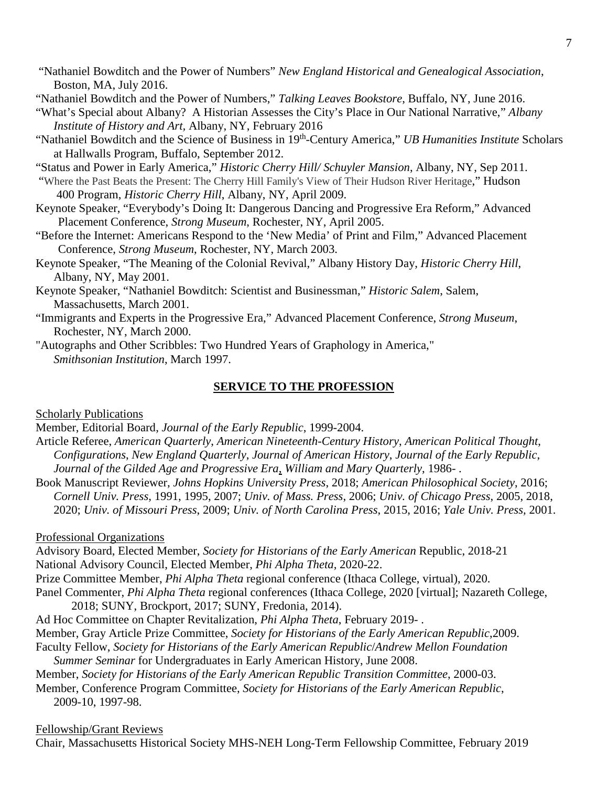- "Nathaniel Bowditch and the Power of Numbers" *New England Historical and Genealogical Association*, Boston, MA, July 2016.
- "Nathaniel Bowditch and the Power of Numbers," *Talking Leaves Bookstore*, Buffalo, NY, June 2016.
- "What's Special about Albany? A Historian Assesses the City's Place in Our National Narrative," *Albany Institute of History and Art,* Albany, NY, February 2016
- "Nathaniel Bowditch and the Science of Business in 19th-Century America," *UB Humanities Institute* Scholars at Hallwalls Program, Buffalo, September 2012.
- "Status and Power in Early America," *Historic Cherry Hill/ Schuyler Mansion*, Albany, NY, Sep 2011.
- "Where the Past Beats the Present: The Cherry Hill Family's View of Their Hudson River Heritage," Hudson 400 Program, *Historic Cherry Hill*, Albany, NY, April 2009.
- Keynote Speaker, "Everybody's Doing It: Dangerous Dancing and Progressive Era Reform," Advanced Placement Conference, *Strong Museum*, Rochester, NY, April 2005.
- "Before the Internet: Americans Respond to the 'New Media' of Print and Film," Advanced Placement Conference, *Strong Museum*, Rochester, NY, March 2003.
- Keynote Speaker, "The Meaning of the Colonial Revival," Albany History Day, *Historic Cherry Hill*, Albany, NY, May 2001.
- Keynote Speaker, "Nathaniel Bowditch: Scientist and Businessman," *Historic Salem*, Salem, Massachusetts, March 2001.
- "Immigrants and Experts in the Progressive Era," Advanced Placement Conference, *Strong Museum*, Rochester, NY, March 2000.
- "Autographs and Other Scribbles: Two Hundred Years of Graphology in America," *Smithsonian Institution*, March 1997.

## **SERVICE TO THE PROFESSION**

### Scholarly Publications

Member, Editorial Board, *Journal of the Early Republic*, 1999-2004.

- Article Referee, *American Quarterly*, *American Nineteenth-Century History*, *American Political Thought*, *Configurations*, *New England Quarterly*, *Journal of American History*, *Journal of the Early Republic*, *Journal of the Gilded Age and Progressive Era*, *William and Mary Quarterly*, 1986- .
- Book Manuscript Reviewer, *Johns Hopkins University Press*, 2018; *American Philosophical Society*, 2016; *Cornell Univ. Press*, 1991, 1995, 2007; *Univ. of Mass. Press*, 2006; *Univ. of Chicago Press*, 2005, 2018, 2020; *Univ. of Missouri Press*, 2009; *Univ. of North Carolina Press*, 2015, 2016; *Yale Univ. Press,* 2001.

## Professional Organizations

- Advisory Board, Elected Member, *Society for Historians of the Early American* Republic, 2018-21 National Advisory Council, Elected Member, *Phi Alpha Theta*, 2020-22.
- Prize Committee Member, *Phi Alpha Theta* regional conference (Ithaca College, virtual), 2020.
- Panel Commenter, *Phi Alpha Theta* regional conferences (Ithaca College, 2020 [virtual]; Nazareth College, 2018; SUNY, Brockport, 2017; SUNY, Fredonia, 2014).
- Ad Hoc Committee on Chapter Revitalization, *Phi Alpha Theta*, February 2019- . Member, Gray Article Prize Committee, *Society for Historians of the Early American Republic*,2009. Faculty Fellow, *Society for Historians of the Early American Republic*/*Andrew Mellon Foundation*
- *Summer Seminar* for Undergraduates in Early American History, June 2008.
- Member, *Society for Historians of the Early American Republic Transition Committee*, 2000-03.
- Member, Conference Program Committee, *Society for Historians of the Early American Republic*, 2009-10, 1997-98.

### Fellowship/Grant Reviews

Chair, Massachusetts Historical Society MHS-NEH Long-Term Fellowship Committee, February 2019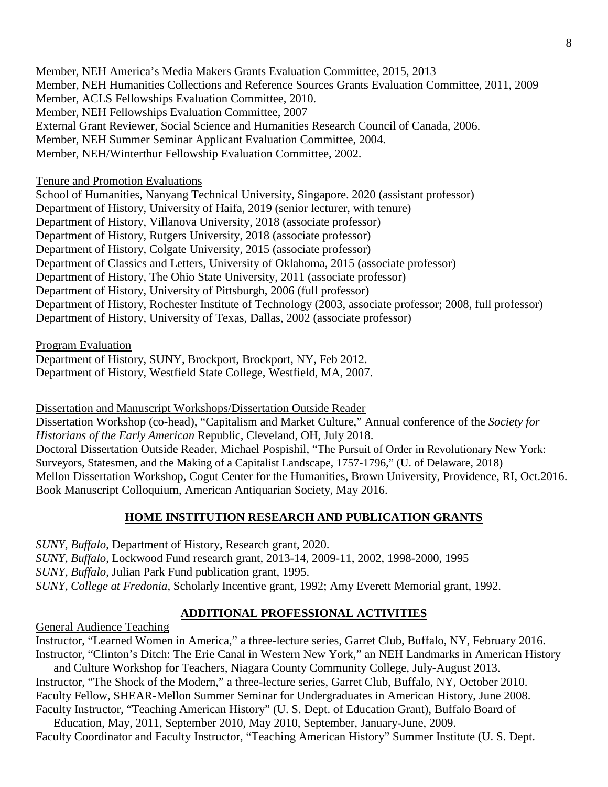Member, NEH America's Media Makers Grants Evaluation Committee, 2015, 2013 Member, NEH Humanities Collections and Reference Sources Grants Evaluation Committee, 2011, 2009 Member, ACLS Fellowships Evaluation Committee, 2010. Member, NEH Fellowships Evaluation Committee, 2007 External Grant Reviewer, Social Science and Humanities Research Council of Canada, 2006. Member, NEH Summer Seminar Applicant Evaluation Committee, 2004. Member, NEH/Winterthur Fellowship Evaluation Committee, 2002.

Tenure and Promotion Evaluations

School of Humanities, Nanyang Technical University, Singapore. 2020 (assistant professor) Department of History, University of Haifa, 2019 (senior lecturer, with tenure) Department of History, Villanova University, 2018 (associate professor) Department of History, Rutgers University, 2018 (associate professor) Department of History, Colgate University, 2015 (associate professor) Department of Classics and Letters, University of Oklahoma, 2015 (associate professor) Department of History, The Ohio State University, 2011 (associate professor) Department of History, University of Pittsburgh, 2006 (full professor) Department of History, Rochester Institute of Technology (2003, associate professor; 2008, full professor) Department of History, University of Texas, Dallas, 2002 (associate professor)

Program Evaluation

Department of History, SUNY, Brockport, Brockport, NY, Feb 2012. Department of History, Westfield State College, Westfield, MA, 2007.

Dissertation and Manuscript Workshops/Dissertation Outside Reader

Dissertation Workshop (co-head), "Capitalism and Market Culture," Annual conference of the *Society for Historians of the Early American* Republic, Cleveland, OH, July 2018. Doctoral Dissertation Outside Reader, Michael Pospishil, "The Pursuit of Order in Revolutionary New York: Surveyors, Statesmen, and the Making of a Capitalist Landscape, 1757-1796," (U. of Delaware, 2018) Mellon Dissertation Workshop, Cogut Center for the Humanities, Brown University, Providence, RI, Oct.2016. Book Manuscript Colloquium, American Antiquarian Society, May 2016.

# **HOME INSTITUTION RESEARCH AND PUBLICATION GRANTS**

*SUNY, Buffalo*, Department of History, Research grant, 2020. *SUNY, Buffalo*, Lockwood Fund research grant, 2013-14, 2009-11, 2002, 1998-2000, 1995 *SUNY, Buffalo*, Julian Park Fund publication grant, 1995. *SUNY, College at Fredonia*, Scholarly Incentive grant, 1992; Amy Everett Memorial grant, 1992.

# **ADDITIONAL PROFESSIONAL ACTIVITIES**

General Audience Teaching

Instructor, "Learned Women in America," a three-lecture series, Garret Club, Buffalo, NY, February 2016. Instructor, "Clinton's Ditch: The Erie Canal in Western New York," an NEH Landmarks in American History

and Culture Workshop for Teachers, Niagara County Community College, July-August 2013. Instructor, "The Shock of the Modern," a three-lecture series, Garret Club, Buffalo, NY, October 2010. Faculty Fellow, SHEAR-Mellon Summer Seminar for Undergraduates in American History, June 2008. Faculty Instructor, "Teaching American History" (U. S. Dept. of Education Grant), Buffalo Board of

Education, May, 2011, September 2010, May 2010, September, January-June, 2009. Faculty Coordinator and Faculty Instructor, "Teaching American History" Summer Institute (U. S. Dept.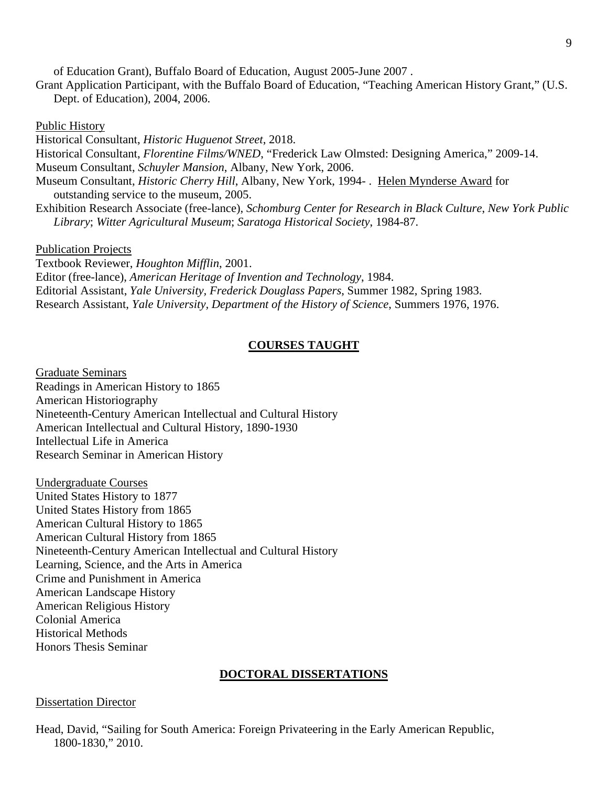of Education Grant), Buffalo Board of Education, August 2005-June 2007 .

Grant Application Participant, with the Buffalo Board of Education, "Teaching American History Grant," (U.S. Dept. of Education), 2004, 2006.

Public History

Historical Consultant, *Historic Huguenot Street*, 2018. Historical Consultant, *Florentine Films/WNED*, "Frederick Law Olmsted: Designing America," 2009-14. Museum Consultant, *Schuyler Mansion*, Albany, New York, 2006. Museum Consultant, *Historic Cherry Hill*, Albany, New York, 1994- . Helen Mynderse Award for outstanding service to the museum, 2005. Exhibition Research Associate (free-lance), *Schomburg Center for Research in Black Culture*, *New York Public Library*; *Witter Agricultural Museum*; *Saratoga Historical Society*, 1984-87. Publication Projects Textbook Reviewer, *Houghton Mifflin*, 2001.

Editor (free-lance), *American Heritage of Invention and Technology*, 1984. Editorial Assistant, *Yale University, Frederick Douglass Papers*, Summer 1982, Spring 1983. Research Assistant, *Yale University, Department of the History of Science*, Summers 1976, 1976.

#### **COURSES TAUGHT**

Graduate Seminars Readings in American History to 1865 American Historiography Nineteenth-Century American Intellectual and Cultural History American Intellectual and Cultural History, 1890-1930 Intellectual Life in America Research Seminar in American History

Undergraduate Courses United States History to 1877 United States History from 1865 American Cultural History to 1865 American Cultural History from 1865 Nineteenth-Century American Intellectual and Cultural History Learning, Science, and the Arts in America Crime and Punishment in America American Landscape History American Religious History Colonial America Historical Methods Honors Thesis Seminar

#### **DOCTORAL DISSERTATIONS**

#### Dissertation Director

Head, David, "Sailing for South America: Foreign Privateering in the Early American Republic, 1800-1830," 2010.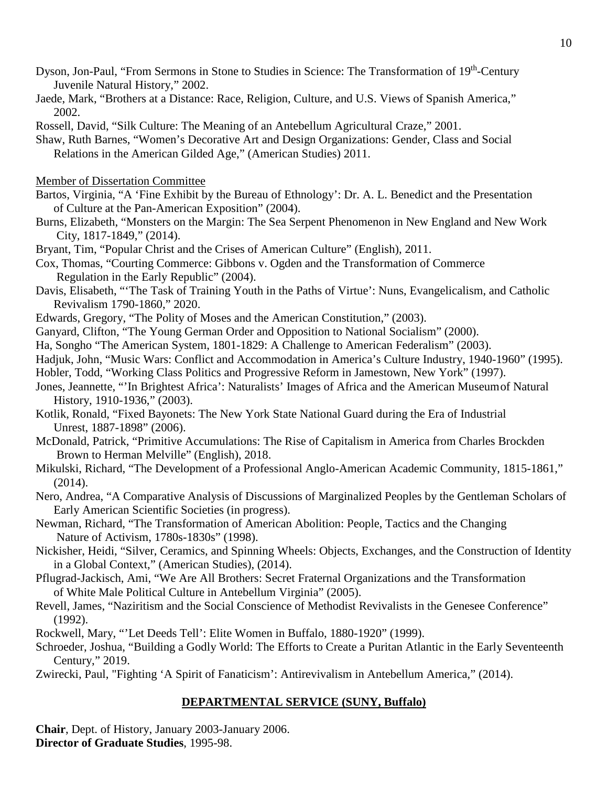- Dyson, Jon-Paul, "From Sermons in Stone to Studies in Science: The Transformation of 19<sup>th</sup>-Century Juvenile Natural History," 2002.
- Jaede, Mark, "Brothers at a Distance: Race, Religion, Culture, and U.S. Views of Spanish America," 2002.
- Rossell, David, "Silk Culture: The Meaning of an Antebellum Agricultural Craze," 2001.
- Shaw, Ruth Barnes, "Women's Decorative Art and Design Organizations: Gender, Class and Social Relations in the American Gilded Age," (American Studies) 2011.
- Member of Dissertation Committee
- Bartos, Virginia, "A 'Fine Exhibit by the Bureau of Ethnology': Dr. A. L. Benedict and the Presentation of Culture at the Pan-American Exposition" (2004).
- Burns, Elizabeth, "Monsters on the Margin: The Sea Serpent Phenomenon in New England and New Work City, 1817-1849," (2014).
- Bryant, Tim, "Popular Christ and the Crises of American Culture" (English), 2011.
- Cox, Thomas, "Courting Commerce: Gibbons v. Ogden and the Transformation of Commerce Regulation in the Early Republic" (2004).
- Davis, Elisabeth, "'The Task of Training Youth in the Paths of Virtue': Nuns, Evangelicalism, and Catholic Revivalism 1790-1860," 2020.
- Edwards, Gregory, "The Polity of Moses and the American Constitution," (2003).
- Ganyard, Clifton, "The Young German Order and Opposition to National Socialism" (2000).
- Ha, Songho "The American System, 1801-1829: A Challenge to American Federalism" (2003).
- Hadjuk, John, "Music Wars: Conflict and Accommodation in America's Culture Industry, 1940-1960" (1995).
- Hobler, Todd, "Working Class Politics and Progressive Reform in Jamestown, New York" (1997).
- Jones, Jeannette, "'In Brightest Africa': Naturalists' Images of Africa and the American Museumof Natural History, 1910-1936," (2003).
- Kotlik, Ronald, "Fixed Bayonets: The New York State National Guard during the Era of Industrial Unrest, 1887-1898" (2006).
- McDonald, Patrick, "Primitive Accumulations: The Rise of Capitalism in America from Charles Brockden Brown to Herman Melville" (English), 2018.
- Mikulski, Richard, "The Development of a Professional Anglo-American Academic Community, 1815-1861," (2014).
- Nero, Andrea, "A Comparative Analysis of Discussions of Marginalized Peoples by the Gentleman Scholars of Early American Scientific Societies (in progress).
- Newman, Richard, "The Transformation of American Abolition: People, Tactics and the Changing Nature of Activism, 1780s-1830s" (1998).
- Nickisher, Heidi, "Silver, Ceramics, and Spinning Wheels: Objects, Exchanges, and the Construction of Identity in a Global Context," (American Studies), (2014).
- Pflugrad-Jackisch, Ami, "We Are All Brothers: Secret Fraternal Organizations and the Transformation of White Male Political Culture in Antebellum Virginia" (2005).
- Revell, James, "Naziritism and the Social Conscience of Methodist Revivalists in the Genesee Conference" (1992).
- Rockwell, Mary, "'Let Deeds Tell': Elite Women in Buffalo, 1880-1920" (1999).
- Schroeder, Joshua, "Building a Godly World: The Efforts to Create a Puritan Atlantic in the Early Seventeenth Century," 2019.
- Zwirecki, Paul, "Fighting 'A Spirit of Fanaticism': Antirevivalism in Antebellum America," (2014).

## **DEPARTMENTAL SERVICE (SUNY, Buffalo)**

**Chair**, Dept. of History, January 2003-January 2006. **Director of Graduate Studies**, 1995-98.